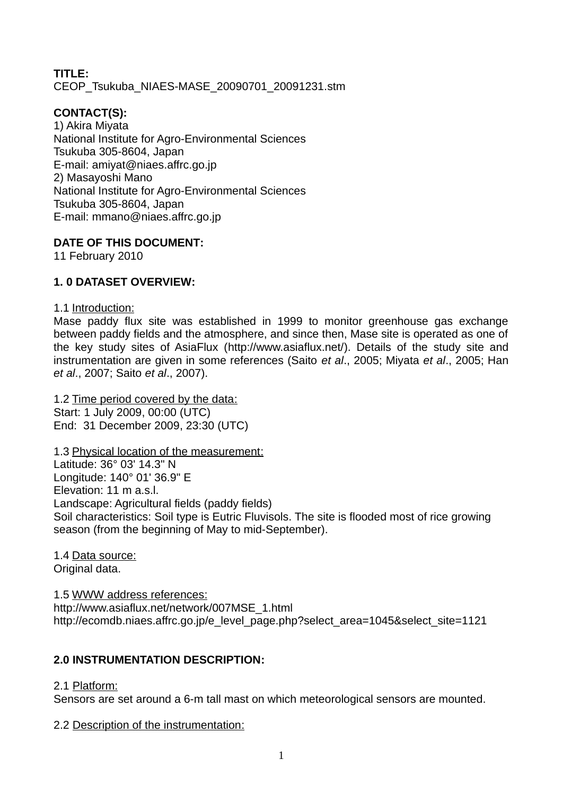# **TITLE:** CEOP\_Tsukuba\_NIAES-MASE\_20090701\_20091231.stm

# **CONTACT(S):**

1) Akira Miyata National Institute for Agro-Environmental Sciences Tsukuba 305-8604, Japan E-mail: amiyat@niaes.affrc.go.jp 2) Masayoshi Mano National Institute for Agro-Environmental Sciences Tsukuba 305-8604, Japan E-mail: mmano@niaes.affrc.go.jp

# **DATE OF THIS DOCUMENT:**

11 February 2010

# **1. 0 DATASET OVERVIEW:**

1.1 Introduction:

Mase paddy flux site was established in 1999 to monitor greenhouse gas exchange between paddy fields and the atmosphere, and since then, Mase site is operated as one of the key study sites of AsiaFlux [\(http://www.asiaflux.net/\)](http://www.asiaflux.net/). Details of the study site and instrumentation are given in some references (Saito *et al*., 2005; Miyata *et al*., 2005; Han *et al*., 2007; Saito *et al*., 2007).

1.2 Time period covered by the data: Start: 1 July 2009, 00:00 (UTC) End: 31 December 2009, 23:30 (UTC)

1.3 Physical location of the measurement: Latitude: 36° 03' 14.3" N Longitude: 140° 01' 36.9" E Elevation: 11 m a.s.l. Landscape: Agricultural fields (paddy fields) Soil characteristics: Soil type is Eutric Fluvisols. The site is flooded most of rice growing season (from the beginning of May to mid-September).

1.4 Data source: Original data.

1.5 WWW address references: http://www.asiaflux.net/network/007MSE\_1.html http://ecomdb.niaes.affrc.go.jp/e level page.php?select area=1045&select site=1121

# **2.0 INSTRUMENTATION DESCRIPTION:**

2.1 Platform:

Sensors are set around a 6-m tall mast on which meteorological sensors are mounted.

2.2 Description of the instrumentation: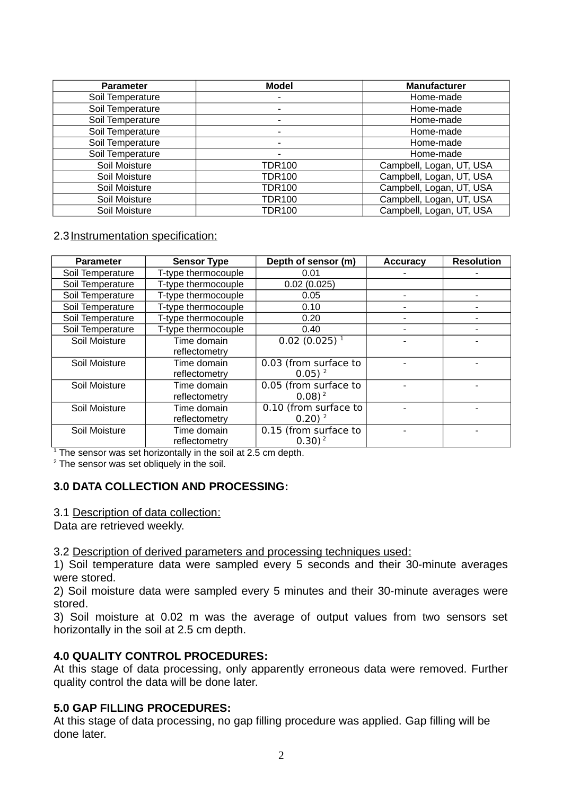| <b>Parameter</b> | <b>Model</b>             | <b>Manufacturer</b>      |  |  |
|------------------|--------------------------|--------------------------|--|--|
| Soil Temperature | $\overline{\phantom{a}}$ | Home-made                |  |  |
| Soil Temperature |                          | Home-made                |  |  |
| Soil Temperature | $\overline{\phantom{0}}$ | Home-made                |  |  |
| Soil Temperature |                          | Home-made                |  |  |
| Soil Temperature |                          | Home-made                |  |  |
| Soil Temperature |                          | Home-made                |  |  |
| Soil Moisture    | TDR100                   | Campbell, Logan, UT, USA |  |  |
| Soil Moisture    | <b>TDR100</b>            | Campbell, Logan, UT, USA |  |  |
| Soil Moisture    | <b>TDR100</b>            | Campbell, Logan, UT, USA |  |  |
| Soil Moisture    | <b>TDR100</b>            | Campbell, Logan, UT, USA |  |  |
| Soil Moisture    | <b>TDR100</b>            | Campbell, Logan, UT, USA |  |  |

### 2.3 Instrumentation specification:

| <b>Parameter</b> | <b>Sensor Type</b>  | Depth of sensor (m)   | <b>Accuracy</b> | <b>Resolution</b> |
|------------------|---------------------|-----------------------|-----------------|-------------------|
| Soil Temperature | T-type thermocouple | 0.01                  |                 |                   |
| Soil Temperature | T-type thermocouple | 0.02(0.025)           |                 |                   |
| Soil Temperature | T-type thermocouple | 0.05                  | -               |                   |
| Soil Temperature | T-type thermocouple | 0.10                  | -               |                   |
| Soil Temperature | T-type thermocouple | 0.20                  |                 |                   |
| Soil Temperature | T-type thermocouple | 0.40                  |                 |                   |
| Soil Moisture    | Time domain         | $0.02(0.025)^{-1}$    |                 |                   |
|                  | reflectometry       |                       |                 |                   |
| Soil Moisture    | Time domain         | 0.03 (from surface to |                 |                   |
|                  | reflectometry       | $0.05$ ) $^{2}$       |                 |                   |
| Soil Moisture    | Time domain         | 0.05 (from surface to |                 |                   |
|                  | reflectometry       | $0.08$ ) <sup>2</sup> |                 |                   |
| Soil Moisture    | Time domain         | 0.10 (from surface to |                 |                   |
|                  | reflectometry       | $0.20$ ) $^{2}$       |                 |                   |
| Soil Moisture    | Time domain         | 0.15 (from surface to |                 |                   |
|                  | reflectometry       | $0.30$ <sup>2</sup>   |                 |                   |

 $1$  The sensor was set horizontally in the soil at 2.5 cm depth.

 $2$  The sensor was set obliquely in the soil.

### **3.0 DATA COLLECTION AND PROCESSING:**

3.1 Description of data collection:

Data are retrieved weekly.

3.2 Description of derived parameters and processing techniques used:

1) Soil temperature data were sampled every 5 seconds and their 30-minute averages were stored.

2) Soil moisture data were sampled every 5 minutes and their 30-minute averages were stored.

3) Soil moisture at 0.02 m was the average of output values from two sensors set horizontally in the soil at 2.5 cm depth.

#### **4.0 QUALITY CONTROL PROCEDURES:**

At this stage of data processing, only apparently erroneous data were removed. Further quality control the data will be done later.

#### **5.0 GAP FILLING PROCEDURES:**

At this stage of data processing, no gap filling procedure was applied. Gap filling will be done later.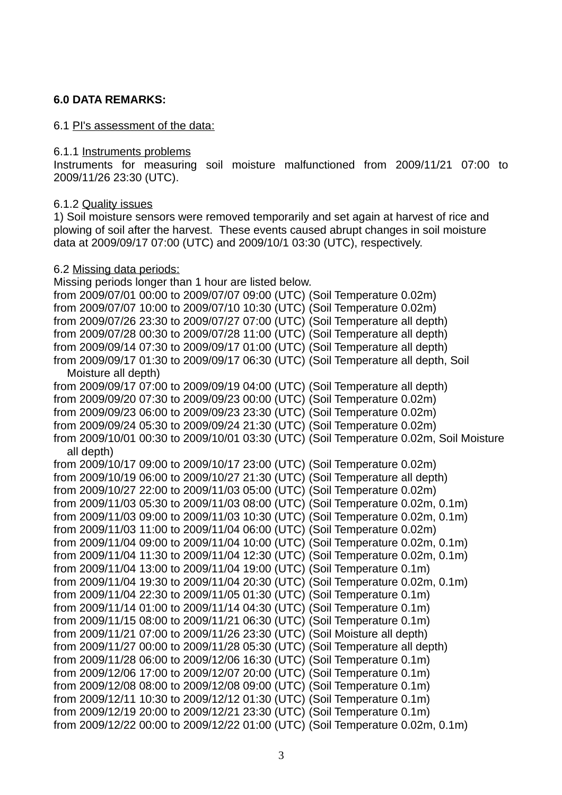### **6.0 DATA REMARKS:**

#### 6.1 PI's assessment of the data:

#### 6.1.1 Instruments problems

Instruments for measuring soil moisture malfunctioned from 2009/11/21 07:00 to 2009/11/26 23:30 (UTC).

#### 6.1.2 Quality issues

1) Soil moisture sensors were removed temporarily and set again at harvest of rice and plowing of soil after the harvest. These events caused abrupt changes in soil moisture data at 2009/09/17 07:00 (UTC) and 2009/10/1 03:30 (UTC), respectively.

#### 6.2 Missing data periods:

Missing periods longer than 1 hour are listed below. from 2009/07/01 00:00 to 2009/07/07 09:00 (UTC) (Soil Temperature 0.02m) from 2009/07/07 10:00 to 2009/07/10 10:30 (UTC) (Soil Temperature 0.02m) from 2009/07/26 23:30 to 2009/07/27 07:00 (UTC) (Soil Temperature all depth) from 2009/07/28 00:30 to 2009/07/28 11:00 (UTC) (Soil Temperature all depth) from 2009/09/14 07:30 to 2009/09/17 01:00 (UTC) (Soil Temperature all depth) from 2009/09/17 01:30 to 2009/09/17 06:30 (UTC) (Soil Temperature all depth, Soil Moisture all depth) from 2009/09/17 07:00 to 2009/09/19 04:00 (UTC) (Soil Temperature all depth) from 2009/09/20 07:30 to 2009/09/23 00:00 (UTC) (Soil Temperature 0.02m) from 2009/09/23 06:00 to 2009/09/23 23:30 (UTC) (Soil Temperature 0.02m) from 2009/09/24 05:30 to 2009/09/24 21:30 (UTC) (Soil Temperature 0.02m) from 2009/10/01 00:30 to 2009/10/01 03:30 (UTC) (Soil Temperature 0.02m, Soil Moisture all depth) from 2009/10/17 09:00 to 2009/10/17 23:00 (UTC) (Soil Temperature 0.02m) from 2009/10/19 06:00 to 2009/10/27 21:30 (UTC) (Soil Temperature all depth) from 2009/10/27 22:00 to 2009/11/03 05:00 (UTC) (Soil Temperature 0.02m) from 2009/11/03 05:30 to 2009/11/03 08:00 (UTC) (Soil Temperature 0.02m, 0.1m) from 2009/11/03 09:00 to 2009/11/03 10:30 (UTC) (Soil Temperature 0.02m, 0.1m) from 2009/11/03 11:00 to 2009/11/04 06:00 (UTC) (Soil Temperature 0.02m) from 2009/11/04 09:00 to 2009/11/04 10:00 (UTC) (Soil Temperature 0.02m, 0.1m) from 2009/11/04 11:30 to 2009/11/04 12:30 (UTC) (Soil Temperature 0.02m, 0.1m) from 2009/11/04 13:00 to 2009/11/04 19:00 (UTC) (Soil Temperature 0.1m) from 2009/11/04 19:30 to 2009/11/04 20:30 (UTC) (Soil Temperature 0.02m, 0.1m) from 2009/11/04 22:30 to 2009/11/05 01:30 (UTC) (Soil Temperature 0.1m) from 2009/11/14 01:00 to 2009/11/14 04:30 (UTC) (Soil Temperature 0.1m) from 2009/11/15 08:00 to 2009/11/21 06:30 (UTC) (Soil Temperature 0.1m) from 2009/11/21 07:00 to 2009/11/26 23:30 (UTC) (Soil Moisture all depth) from 2009/11/27 00:00 to 2009/11/28 05:30 (UTC) (Soil Temperature all depth) from 2009/11/28 06:00 to 2009/12/06 16:30 (UTC) (Soil Temperature 0.1m) from 2009/12/06 17:00 to 2009/12/07 20:00 (UTC) (Soil Temperature 0.1m) from 2009/12/08 08:00 to 2009/12/08 09:00 (UTC) (Soil Temperature 0.1m) from 2009/12/11 10:30 to 2009/12/12 01:30 (UTC) (Soil Temperature 0.1m) from 2009/12/19 20:00 to 2009/12/21 23:30 (UTC) (Soil Temperature 0.1m) from 2009/12/22 00:00 to 2009/12/22 01:00 (UTC) (Soil Temperature 0.02m, 0.1m)